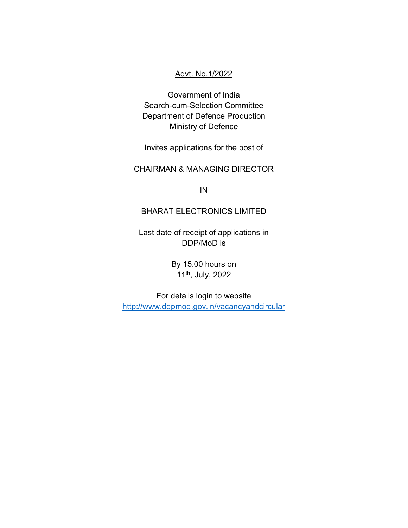#### Advt. No.1/2022

Government of India Search-cum-Selection Committee Department of Defence Production Ministry of Defence

Invites applications for the post of

## CHAIRMAN & MANAGING DIRECTOR

IN

#### BHARAT ELECTRONICS LIMITED

Last date of receipt of applications in DDP/MoD is

> By 15.00 hours on 11th, July, 2022

For details login to website http://www.ddpmod.gov.in/vacancyandcircular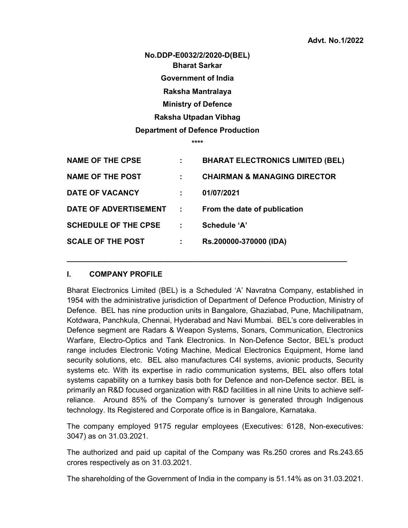No.DDP-E0032/2/2020-D(BEL) Bharat Sarkar Government of India Raksha Mantralaya Ministry of Defence Raksha Utpadan Vibhag Department of Defence Production

\*\*\*\*

| <b>NAME OF THE CPSE</b>     | ÷ | <b>BHARAT ELECTRONICS LIMITED (BEL)</b> |
|-----------------------------|---|-----------------------------------------|
| <b>NAME OF THE POST</b>     |   | <b>CHAIRMAN &amp; MANAGING DIRECTOR</b> |
| <b>DATE OF VACANCY</b>      |   | 01/07/2021                              |
| DATE OF ADVERTISEMENT       | ÷ | From the date of publication            |
| <b>SCHEDULE OF THE CPSE</b> | ÷ | Schedule 'A'                            |
| <b>SCALE OF THE POST</b>    | ÷ | Rs.200000-370000 (IDA)                  |

 $\_$  , and the set of the set of the set of the set of the set of the set of the set of the set of the set of the set of the set of the set of the set of the set of the set of the set of the set of the set of the set of th

#### I. COMPANY PROFILE

Bharat Electronics Limited (BEL) is a Scheduled 'A' Navratna Company, established in 1954 with the administrative jurisdiction of Department of Defence Production, Ministry of Defence. BEL has nine production units in Bangalore, Ghaziabad, Pune, Machilipatnam, Kotdwara, Panchkula, Chennai, Hyderabad and Navi Mumbai. BEL's core deliverables in Defence segment are Radars & Weapon Systems, Sonars, Communication, Electronics Warfare, Electro-Optics and Tank Electronics. In Non-Defence Sector, BEL's product range includes Electronic Voting Machine, Medical Electronics Equipment, Home land security solutions, etc. BEL also manufactures C4I systems, avionic products, Security systems etc. With its expertise in radio communication systems, BEL also offers total systems capability on a turnkey basis both for Defence and non-Defence sector. BEL is primarily an R&D focused organization with R&D facilities in all nine Units to achieve selfreliance. Around 85% of the Company's turnover is generated through Indigenous technology. Its Registered and Corporate office is in Bangalore, Karnataka.

The company employed 9175 regular employees (Executives: 6128, Non-executives: 3047) as on 31.03.2021.

The authorized and paid up capital of the Company was Rs.250 crores and Rs.243.65 crores respectively as on 31.03.2021.

The shareholding of the Government of India in the company is 51.14% as on 31.03.2021.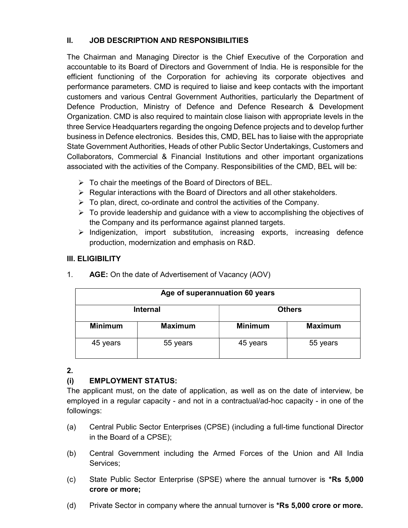## II. JOB DESCRIPTION AND RESPONSIBILITIES

The Chairman and Managing Director is the Chief Executive of the Corporation and accountable to its Board of Directors and Government of India. He is responsible for the efficient functioning of the Corporation for achieving its corporate objectives and performance parameters. CMD is required to liaise and keep contacts with the important customers and various Central Government Authorities, particularly the Department of Defence Production, Ministry of Defence and Defence Research & Development Organization. CMD is also required to maintain close liaison with appropriate levels in the three Service Headquarters regarding the ongoing Defence projects and to develop further business in Defence electronics. Besides this, CMD, BEL has to liaise with the appropriate State Government Authorities, Heads of other Public Sector Undertakings, Customers and Collaborators, Commercial & Financial Institutions and other important organizations associated with the activities of the Company. Responsibilities of the CMD, BEL will be:

- $\triangleright$  To chair the meetings of the Board of Directors of BEL.
- $\triangleright$  Regular interactions with the Board of Directors and all other stakeholders.
- $\triangleright$  To plan, direct, co-ordinate and control the activities of the Company.
- $\triangleright$  To provide leadership and guidance with a view to accomplishing the objectives of the Company and its performance against planned targets.
- $\triangleright$  Indigenization, import substitution, increasing exports, increasing defence production, modernization and emphasis on R&D.

### III. ELIGIBILITY

| Age of superannuation 60 years |                |                |  |  |  |
|--------------------------------|----------------|----------------|--|--|--|
| <b>Internal</b>                |                | <b>Others</b>  |  |  |  |
| <b>Maximum</b>                 | <b>Minimum</b> | <b>Maximum</b> |  |  |  |
| 55 years                       | 45 years       | 55 years       |  |  |  |
|                                |                |                |  |  |  |

1. AGE: On the date of Advertisement of Vacancy (AOV)

#### 2.

## (i) EMPLOYMENT STATUS:

The applicant must, on the date of application, as well as on the date of interview, be employed in a regular capacity - and not in a contractual/ad-hoc capacity - in one of the followings:

- (a) Central Public Sector Enterprises (CPSE) (including a full-time functional Director in the Board of a CPSE);
- (b) Central Government including the Armed Forces of the Union and All India Services;
- (c) State Public Sector Enterprise (SPSE) where the annual turnover is \*Rs 5,000 crore or more;
- (d) Private Sector in company where the annual turnover is \*Rs 5,000 crore or more.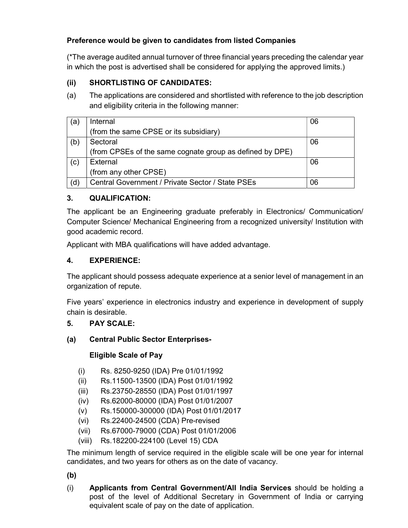# Preference would be given to candidates from listed Companies

(\*The average audited annual turnover of three financial years preceding the calendar year in which the post is advertised shall be considered for applying the approved limits.)

# (ii) SHORTLISTING OF CANDIDATES:

(a) The applications are considered and shortlisted with reference to the job description and eligibility criteria in the following manner:

| (a) | Internal                                                 | 06 |
|-----|----------------------------------------------------------|----|
|     | (from the same CPSE or its subsidiary)                   |    |
| (b) | Sectoral                                                 | 06 |
|     | (from CPSEs of the same cognate group as defined by DPE) |    |
| (c) | External                                                 | 06 |
|     | (from any other CPSE)                                    |    |
| (d) | Central Government / Private Sector / State PSEs         | 06 |

## 3. QUALIFICATION:

The applicant be an Engineering graduate preferably in Electronics/ Communication/ Computer Science/ Mechanical Engineering from a recognized university/ Institution with good academic record.

Applicant with MBA qualifications will have added advantage.

## 4. EXPERIENCE:

The applicant should possess adequate experience at a senior level of management in an organization of repute.

Five years' experience in electronics industry and experience in development of supply chain is desirable.

### 5. PAY SCALE:

### (a) Central Public Sector Enterprises-

### Eligible Scale of Pay

- (i) Rs. 8250-9250 (IDA) Pre 01/01/1992
- (ii) Rs.11500-13500 (IDA) Post 01/01/1992
- (iii) Rs.23750-28550 (IDA) Post 01/01/1997
- (iv) Rs.62000-80000 (IDA) Post 01/01/2007
- (v) Rs.150000-300000 (IDA) Post 01/01/2017
- (vi) Rs.22400-24500 (CDA) Pre-revised
- (vii) Rs.67000-79000 (CDA) Post 01/01/2006
- (viii) Rs.182200-224100 (Level 15) CDA

The minimum length of service required in the eligible scale will be one year for internal candidates, and two years for others as on the date of vacancy.

(b)

(i) Applicants from Central Government/All India Services should be holding a post of the level of Additional Secretary in Government of India or carrying equivalent scale of pay on the date of application.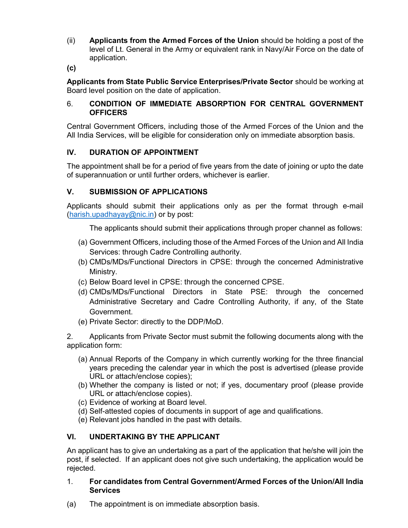(ii) Applicants from the Armed Forces of the Union should be holding a post of the level of Lt. General in the Army or equivalent rank in Navy/Air Force on the date of application.

(c)

Applicants from State Public Service Enterprises/Private Sector should be working at Board level position on the date of application.

#### 6. CONDITION OF IMMEDIATE ABSORPTION FOR CENTRAL GOVERNMENT **OFFICERS**

Central Government Officers, including those of the Armed Forces of the Union and the All India Services, will be eligible for consideration only on immediate absorption basis.

## IV. DURATION OF APPOINTMENT

The appointment shall be for a period of five years from the date of joining or upto the date of superannuation or until further orders, whichever is earlier.

### V. SUBMISSION OF APPLICATIONS

Applicants should submit their applications only as per the format through e-mail (harish.upadhayay@nic.in) or by post:

The applicants should submit their applications through proper channel as follows:

- (a) Government Officers, including those of the Armed Forces of the Union and All India Services: through Cadre Controlling authority.
- (b) CMDs/MDs/Functional Directors in CPSE: through the concerned Administrative Ministry.
- (c) Below Board level in CPSE: through the concerned CPSE.
- (d) CMDs/MDs/Functional Directors in State PSE: through the concerned Administrative Secretary and Cadre Controlling Authority, if any, of the State Government.
- (e) Private Sector: directly to the DDP/MoD.

2. Applicants from Private Sector must submit the following documents along with the application form:

- (a) Annual Reports of the Company in which currently working for the three financial years preceding the calendar year in which the post is advertised (please provide URL or attach/enclose copies);
- (b) Whether the company is listed or not; if yes, documentary proof (please provide URL or attach/enclose copies).
- (c) Evidence of working at Board level.
- (d) Self-attested copies of documents in support of age and qualifications.
- (e) Relevant jobs handled in the past with details.

### VI. UNDERTAKING BY THE APPLICANT

An applicant has to give an undertaking as a part of the application that he/she will join the post, if selected. If an applicant does not give such undertaking, the application would be rejected.

#### 1. For candidates from Central Government/Armed Forces of the Union/All India **Services**

(a) The appointment is on immediate absorption basis.